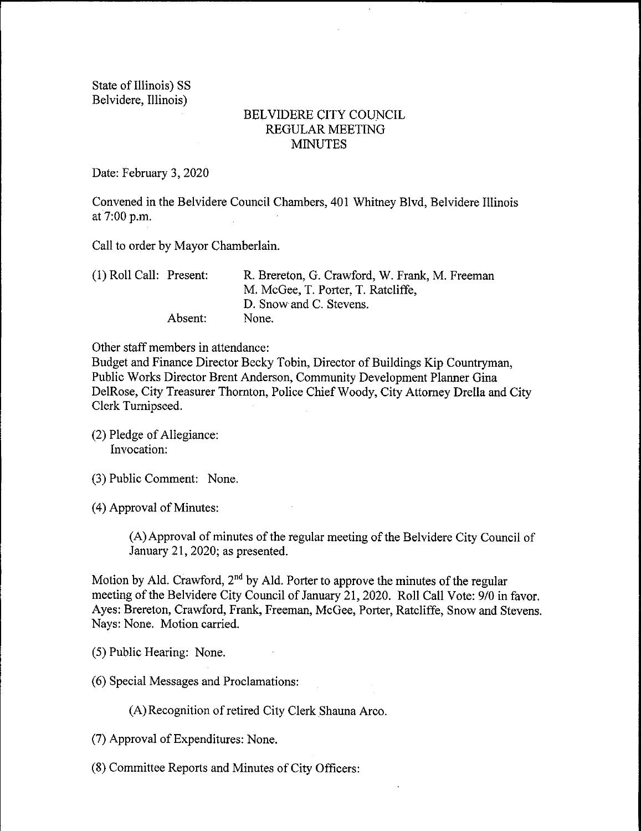State of Illinois) SS Belvidere, Illinois)

## BELVIDERE CITY COUNCIL REGULAR MEETING **MINUTES**

Date: February 3, 2020

Convened in the Belvidere Council Chambers, 401 Whitney Blvd, Belvidere Illinois at 7:00 p.m.

Call to order by Mayor Chamberlain.

| $(1)$ Roll Call: Present: |         | R. Brereton, G. Crawford, W. Frank, M. Freeman |
|---------------------------|---------|------------------------------------------------|
|                           |         | M. McGee, T. Porter, T. Ratcliffe,             |
|                           |         | D. Snow and C. Stevens.                        |
|                           | Absent: | None.                                          |

Other staff members in attendance:

Budget and Finance Director Becky Tobin, Director of Buildings Kip Countryman, Public Works Director Brent Anderson, Community Development Planner Gina DelRose, City Treasurer Thornton, Police Chief Woody, City Attorney Drella and City Clerk Turnipseed.

- (2) Pledge of Allegiance: Invocation:
- 3) Public Comment: None.
- 4) Approval of Minutes:

A) Approval of minutes of the regular meeting of the Belvidere City Council of January 21, 2020; as presented.

Motion by Ald. Crawford,  $2<sup>nd</sup>$  by Ald. Porter to approve the minutes of the regular meeting of the Belvidere City Council of January 21, 2020. Roll Call Vote: 9/0 in favor. Ayes: Brereton, Crawford, Frank, Freeman, McGee, Porter, Ratcliffe, Snow and Stevens. Nays: None. Motion carried.

- 5) Public Hearing: None.
- 6) Special Messages and Proclamations:

A) Recognition of retired City Clerk Shauna Arco.

- 7) Approval of Expenditures: None.
- 8) Committee Reports and Minutes of City Officers: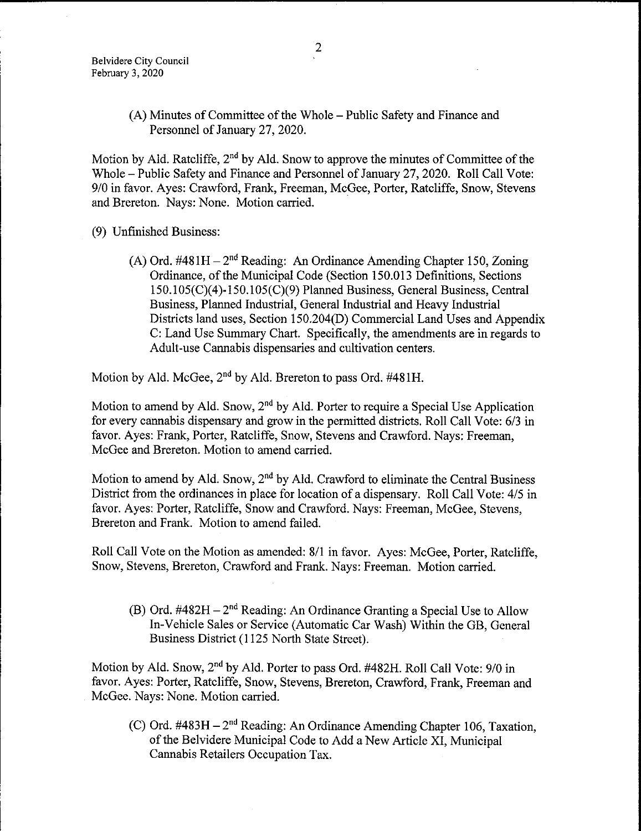A) Minutes of Committee of the Whole— Public Safety and Finance and Personnel of January 27, 2020.

Motion by Ald. Ratcliffe,  $2<sup>nd</sup>$  by Ald. Snow to approve the minutes of Committee of the Whole— Public Safety and Finance and Personnel of January 27, 2020. Roll Call Vote: 9/0 in favor. Ayes: Crawford, Frank, Freeman, McGee, Porter, Ratcliffe, Snow, Stevens and Brereton. Nays: None. Motion carried.

9) Unfinished Business:

(A) Ord.  $\#481H - 2^{nd}$  Reading: An Ordinance Amending Chapter 150, Zoning Ordinance, of the Municipal Code (Section 150.013 Definitions, Sections 150. 105( C)( 4)- 150. 105( C)( 9) Planned Business, General Business, Central Business, Planned Industrial, General Industrial and Heavy Industrial Districts land uses, Section 150.204(D) Commercial Land Uses and Appendix C: Land Use Summary Chart. Specifically, the amendments are in regards to Adult- use Cannabis dispensaries and cultivation centers.

Motion by Ald. McGee, 2<sup>nd</sup> by Ald. Brereton to pass Ord. #481H.

Motion to amend by Ald. Snow, 2<sup>nd</sup> by Ald. Porter to require a Special Use Application for every cannabis dispensary and grow in the permitted districts. Roll Call Vote: 6/3 in favor. Ayes: Frank, Porter, Ratcliffe, Snow, Stevens and Crawford. Nays: Freeman, McGee and Brereton. Motion to amend carried.

Motion to amend by Ald. Snow, 2<sup>nd</sup> by Ald. Crawford to eliminate the Central Business District from the ordinances in place for location of a dispensary. Roll Call Vote: 4/5 in favor. Ayes: Porter, Ratcliffe, Snow and Crawford. Nays: Freeman, McGee, Stevens, Brereton and Frank. Motion to amend failed.

Roll Call Vote on the Motion as amended: 8/1 in favor. Ayes: McGee, Porter, Ratcliffe, Snow, Stevens, Brereton, Crawford and Frank. Nays: Freeman. Motion carried.

(B) Ord.  $\#482H - 2^{nd}$  Reading: An Ordinance Granting a Special Use to Allow In-Vehicle Sales or Service (Automatic Car Wash) Within the GB, General Business District (1125 North State Street).

Motion by Ald. Snow, 2<sup>nd</sup> by Ald. Porter to pass Ord. #482H. Roll Call Vote: 9/0 in favor. Ayes: Porter, Ratcliffe, Snow, Stevens, Brereton, Crawford, Frank, Freeman and McGee. Nays: None. Motion carried.

(C) Ord.  $\#483H - 2^{nd}$  Reading: An Ordinance Amending Chapter 106, Taxation, of the Belvidere Municipal Code to Add a New Article XI, Municipal Cannabis Retailers Occupation Tax.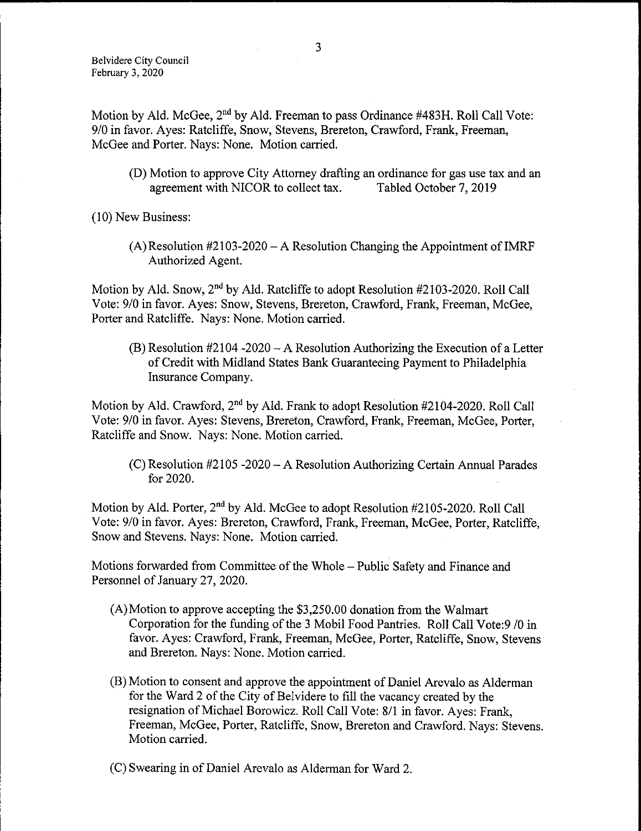Motion by Ald. McGee, 2<sup>nd</sup> by Ald. Freeman to pass Ordinance #483H. Roll Call Vote: 9/0 in favor. Ayes: Ratcliffe, Snow, Stevens, Brereton, Crawford, Frank, Freeman, McGee and Porter. Nays: None. Motion carried.

(D) Motion to approve City Attorney drafting an ordinance for gas use tax and an agreement with NICOR to collect tax. Tabled October 7, 2019 agreement with NICOR to collect tax.

10) New Business:

 $(A)$  Resolution #2103-2020 – A Resolution Changing the Appointment of IMRF Authorized Agent.

Motion by Ald. Snow,  $2<sup>nd</sup>$  by Ald. Ratcliffe to adopt Resolution #2103-2020. Roll Call Vote: 9/0 in favor. Ayes: Snow, Stevens, Brereton, Crawford, Frank, Freeman, McGee, Porter and Ratcliffe. Nays: None. Motion carried.

 $(B)$  Resolution #2104 -2020 – A Resolution Authorizing the Execution of a Letter of Credit with Midland States Bank Guaranteeing Payment to Philadelphia Insurance Company.

Motion by Ald. Crawford,  $2<sup>nd</sup>$  by Ald. Frank to adopt Resolution  $#2104-2020$ . Roll Call Vote: 9/0 in favor. Ayes: Stevens, Brereton, Crawford, Frank, Freeman, McGee, Porter, Ratcliffe and Snow. Nays: None. Motion carried.

 $(C)$  Resolution #2105 -2020 – A Resolution Authorizing Certain Annual Parades for 2020.

Motion by Ald. Porter, 2<sup>nd</sup> by Ald. McGee to adopt Resolution #2105-2020. Roll Call Vote: 9/0 in favor. Ayes: Brereton, Crawford, Frank, Freeman, McGee, Porter, Ratcliffe, Snow and Stevens. Nays: None. Motion carried.

Motions forwarded from Committee of the Whole— Public Safety and Finance and Personnel of January 27, 2020.

- A)Motion to approve accepting the \$3, 250.00 donation from the Walmart Corporation for the funding of the 3 Mobil Food Pantries. Roll Call Vote: 9 / 0 in favor. Ayes: Crawford, Frank, Freeman, McGee, Porter, Ratcliffe, Snow, Stevens and Brereton. Nays: None. Motion carried.
- B) Motion to consent and approve the appointment of Daniel Arevalo as Alderman for the Ward 2 of the City of Belvidere to fill the vacancy created by the resignation of Michael Borowicz. Roll Call Vote: 8/1 in favor. Ayes: Frank, Freeman, McGee, Porter, Ratcliffe, Snow, Brereton and Crawford. Nays: Stevens. Motion carried.
- C) Swearing in of Daniel Arevalo as Alderman for Ward 2.